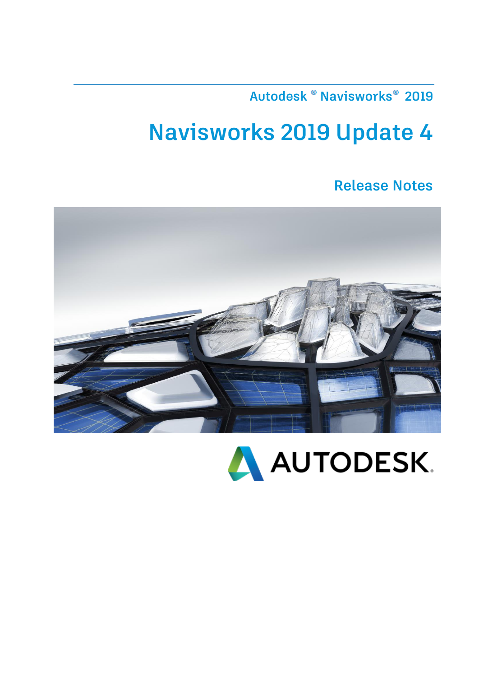**Autodesk ® Navisworks ® 2019** 

## **Navisworks 2019 Update 4**

### **Release Notes**



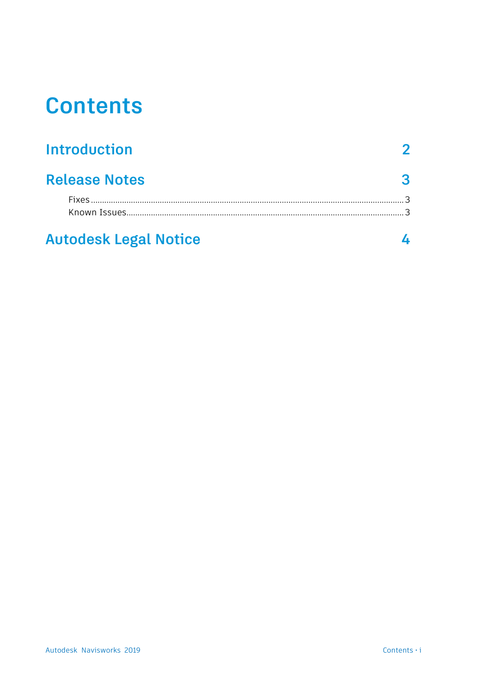### **Contents**

| <b>Introduction</b>          |  |
|------------------------------|--|
| <b>Release Notes</b>         |  |
|                              |  |
|                              |  |
| <b>Autodesk Legal Notice</b> |  |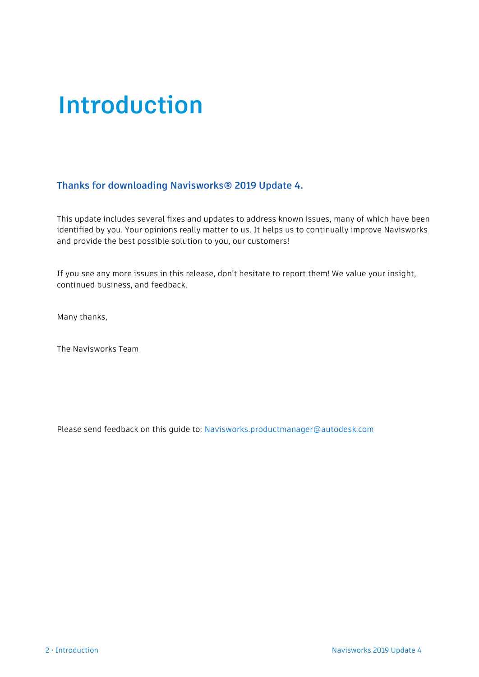## <span id="page-3-0"></span>**Introduction**

#### **Thanks for downloading Navisworks® 2019 Update 4.**

This update includes several fixes and updates to address known issues, many of which have been identified by you. Your opinions really matter to us. It helps us to continually improve Navisworks and provide the best possible solution to you, our customers!

If you see any more issues in this release, don't hesitate to report them! We value your insight, continued business, and feedback.

Many thanks,

The Navisworks Team

Please send feedback on this guide to: [Navisworks.productmanager@autodesk.com](mailto:Navisworks.productmanager@autodesk.com)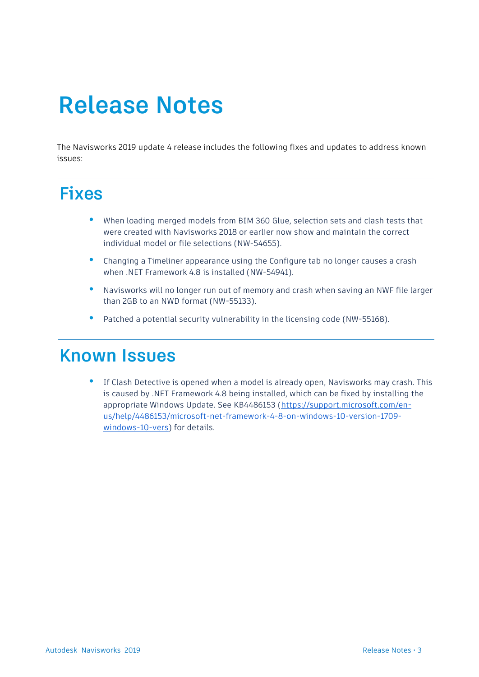## <span id="page-4-0"></span>**Release Notes**

<span id="page-4-1"></span>The Navisworks 2019 update 4 release includes the following fixes and updates to address known issues:

### **Fixes**

- When loading merged models from BIM 360 Glue, selection sets and clash tests that were created with Navisworks 2018 or earlier now show and maintain the correct individual model or file selections (NW-54655).
- Changing a Timeliner appearance using the Configure tab no longer causes a crash when .NET Framework 4.8 is installed (NW-54941).
- Navisworks will no longer run out of memory and crash when saving an NWF file larger than 2GB to an NWD format (NW-55133).
- Patched a potential security vulnerability in the licensing code (NW-55168).

### <span id="page-4-2"></span>**Known Issues**

 If Clash Detective is opened when a model is already open, Navisworks may crash. This is caused by .NET Framework 4.8 being installed, which can be fixed by installing the appropriate Windows Update. See KB4486153 [\(https://support.microsoft.com/en](https://support.microsoft.com/en-us/help/4486153/microsoft-net-framework-4-8-on-windows-10-version-1709-windows-10-vers)[us/help/4486153/microsoft-net-framework-4-8-on-windows-10-version-1709](https://support.microsoft.com/en-us/help/4486153/microsoft-net-framework-4-8-on-windows-10-version-1709-windows-10-vers) [windows-10-vers\)](https://support.microsoft.com/en-us/help/4486153/microsoft-net-framework-4-8-on-windows-10-version-1709-windows-10-vers) for details.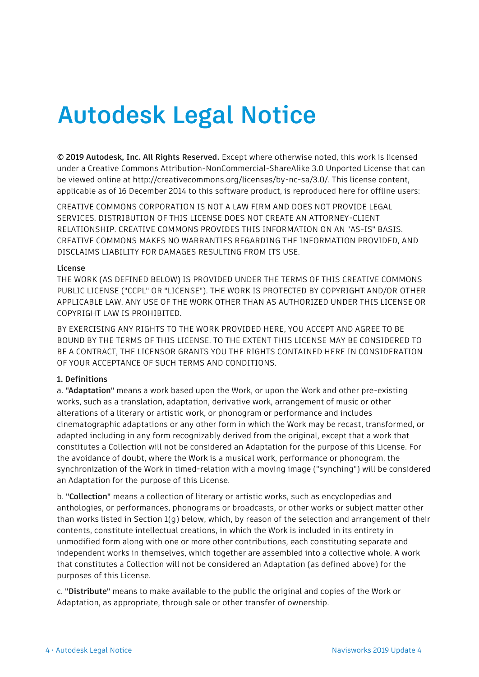# <span id="page-5-0"></span>**Autodesk Legal Notice**

**© 2019 Autodesk, Inc. All Rights Reserved.** Except where otherwise noted, this work is licensed under a Creative Commons Attribution-NonCommercial-ShareAlike 3.0 Unported License that can be viewed online at http://creativecommons.org/licenses/by-nc-sa/3.0/. This license content, applicable as of 16 December 2014 to this software product, is reproduced here for offline users:

CREATIVE COMMONS CORPORATION IS NOT A LAW FIRM AND DOES NOT PROVIDE LEGAL SERVICES. DISTRIBUTION OF THIS LICENSE DOES NOT CREATE AN ATTORNEY-CLIENT RELATIONSHIP. CREATIVE COMMONS PROVIDES THIS INFORMATION ON AN "AS-IS" BASIS. CREATIVE COMMONS MAKES NO WARRANTIES REGARDING THE INFORMATION PROVIDED, AND DISCLAIMS LIABILITY FOR DAMAGES RESULTING FROM ITS USE.

#### **License**

THE WORK (AS DEFINED BELOW) IS PROVIDED UNDER THE TERMS OF THIS CREATIVE COMMONS PUBLIC LICENSE ("CCPL" OR "LICENSE"). THE WORK IS PROTECTED BY COPYRIGHT AND/OR OTHER APPLICABLE LAW. ANY USE OF THE WORK OTHER THAN AS AUTHORIZED UNDER THIS LICENSE OR COPYRIGHT LAW IS PROHIBITED.

BY EXERCISING ANY RIGHTS TO THE WORK PROVIDED HERE, YOU ACCEPT AND AGREE TO BE BOUND BY THE TERMS OF THIS LICENSE. TO THE EXTENT THIS LICENSE MAY BE CONSIDERED TO BE A CONTRACT, THE LICENSOR GRANTS YOU THE RIGHTS CONTAINED HERE IN CONSIDERATION OF YOUR ACCEPTANCE OF SUCH TERMS AND CONDITIONS.

#### **1. Definitions**

a. **"Adaptation"** means a work based upon the Work, or upon the Work and other pre-existing works, such as a translation, adaptation, derivative work, arrangement of music or other alterations of a literary or artistic work, or phonogram or performance and includes cinematographic adaptations or any other form in which the Work may be recast, transformed, or adapted including in any form recognizably derived from the original, except that a work that constitutes a Collection will not be considered an Adaptation for the purpose of this License. For the avoidance of doubt, where the Work is a musical work, performance or phonogram, the synchronization of the Work in timed-relation with a moving image ("synching") will be considered an Adaptation for the purpose of this License.

b. **"Collection"** means a collection of literary or artistic works, such as encyclopedias and anthologies, or performances, phonograms or broadcasts, or other works or subject matter other than works listed in Section 1(g) below, which, by reason of the selection and arrangement of their contents, constitute intellectual creations, in which the Work is included in its entirety in unmodified form along with one or more other contributions, each constituting separate and independent works in themselves, which together are assembled into a collective whole. A work that constitutes a Collection will not be considered an Adaptation (as defined above) for the purposes of this License.

c. **"Distribute"** means to make available to the public the original and copies of the Work or Adaptation, as appropriate, through sale or other transfer of ownership.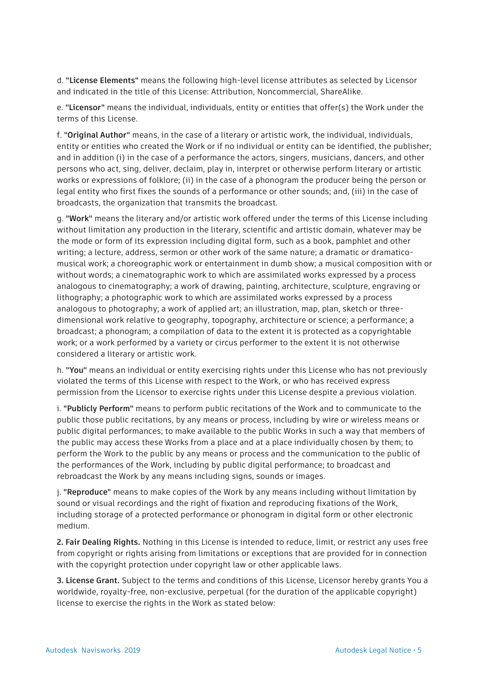d. **"License Elements"** means the following high-level license attributes as selected by Licensor and indicated in the title of this License: Attribution, Noncommercial, ShareAlike.

e. **"Licensor"** means the individual, individuals, entity or entities that offer(s) the Work under the terms of this License.

f. **"Original Author"** means, in the case of a literary or artistic work, the individual, individuals, entity or entities who created the Work or if no individual or entity can be identified, the publisher; and in addition (i) in the case of a performance the actors, singers, musicians, dancers, and other persons who act, sing, deliver, declaim, play in, interpret or otherwise perform literary or artistic works or expressions of folklore; (ii) in the case of a phonogram the producer being the person or legal entity who first fixes the sounds of a performance or other sounds; and, (iii) in the case of broadcasts, the organization that transmits the broadcast.

g. **"Work"** means the literary and/or artistic work offered under the terms of this License including without limitation any production in the literary, scientific and artistic domain, whatever may be the mode or form of its expression including digital form, such as a book, pamphlet and other writing; a lecture, address, sermon or other work of the same nature; a dramatic or dramaticomusical work; a choreographic work or entertainment in dumb show; a musical composition with or without words; a cinematographic work to which are assimilated works expressed by a process analogous to cinematography; a work of drawing, painting, architecture, sculpture, engraving or lithography; a photographic work to which are assimilated works expressed by a process analogous to photography; a work of applied art; an illustration, map, plan, sketch or threedimensional work relative to geography, topography, architecture or science; a performance; a broadcast; a phonogram; a compilation of data to the extent it is protected as a copyrightable work; or a work performed by a variety or circus performer to the extent it is not otherwise considered a literary or artistic work.

h. **"You"** means an individual or entity exercising rights under this License who has not previously violated the terms of this License with respect to the Work, or who has received express permission from the Licensor to exercise rights under this License despite a previous violation.

i. **"Publicly Perform"** means to perform public recitations of the Work and to communicate to the public those public recitations, by any means or process, including by wire or wireless means or public digital performances; to make available to the public Works in such a way that members of the public may access these Works from a place and at a place individually chosen by them; to perform the Work to the public by any means or process and the communication to the public of the performances of the Work, including by public digital performance; to broadcast and rebroadcast the Work by any means including signs, sounds or images.

j. **"Reproduce"** means to make copies of the Work by any means including without limitation by sound or visual recordings and the right of fixation and reproducing fixations of the Work, including storage of a protected performance or phonogram in digital form or other electronic medium.

**2. Fair Dealing Rights.** Nothing in this License is intended to reduce, limit, or restrict any uses free from copyright or rights arising from limitations or exceptions that are provided for in connection with the copyright protection under copyright law or other applicable laws.

**3. License Grant.** Subject to the terms and conditions of this License, Licensor hereby grants You a worldwide, royalty-free, non-exclusive, perpetual (for the duration of the applicable copyright) license to exercise the rights in the Work as stated below: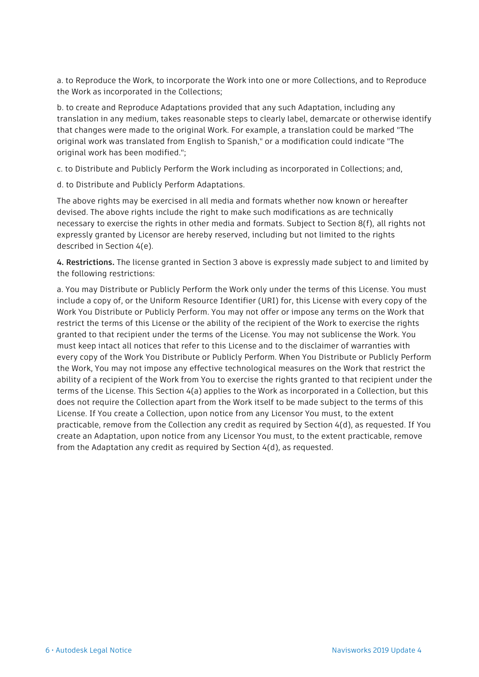a. to Reproduce the Work, to incorporate the Work into one or more Collections, and to Reproduce the Work as incorporated in the Collections;

b. to create and Reproduce Adaptations provided that any such Adaptation, including any translation in any medium, takes reasonable steps to clearly label, demarcate or otherwise identify that changes were made to the original Work. For example, a translation could be marked "The original work was translated from English to Spanish," or a modification could indicate "The original work has been modified.";

c. to Distribute and Publicly Perform the Work including as incorporated in Collections; and,

d. to Distribute and Publicly Perform Adaptations.

The above rights may be exercised in all media and formats whether now known or hereafter devised. The above rights include the right to make such modifications as are technically necessary to exercise the rights in other media and formats. Subject to Section 8(f), all rights not expressly granted by Licensor are hereby reserved, including but not limited to the rights described in Section 4(e).

**4. Restrictions.** The license granted in Section 3 above is expressly made subject to and limited by the following restrictions:

a. You may Distribute or Publicly Perform the Work only under the terms of this License. You must include a copy of, or the Uniform Resource Identifier (URI) for, this License with every copy of the Work You Distribute or Publicly Perform. You may not offer or impose any terms on the Work that restrict the terms of this License or the ability of the recipient of the Work to exercise the rights granted to that recipient under the terms of the License. You may not sublicense the Work. You must keep intact all notices that refer to this License and to the disclaimer of warranties with every copy of the Work You Distribute or Publicly Perform. When You Distribute or Publicly Perform the Work, You may not impose any effective technological measures on the Work that restrict the ability of a recipient of the Work from You to exercise the rights granted to that recipient under the terms of the License. This Section 4(a) applies to the Work as incorporated in a Collection, but this does not require the Collection apart from the Work itself to be made subject to the terms of this License. If You create a Collection, upon notice from any Licensor You must, to the extent practicable, remove from the Collection any credit as required by Section 4(d), as requested. If You create an Adaptation, upon notice from any Licensor You must, to the extent practicable, remove from the Adaptation any credit as required by Section 4(d), as requested.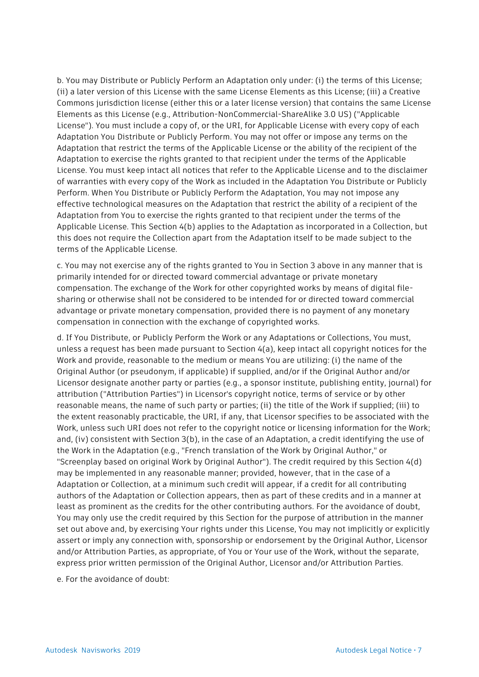b. You may Distribute or Publicly Perform an Adaptation only under: (i) the terms of this License; (ii) a later version of this License with the same License Elements as this License; (iii) a Creative Commons jurisdiction license (either this or a later license version) that contains the same License Elements as this License (e.g., Attribution-NonCommercial-ShareAlike 3.0 US) ("Applicable License"). You must include a copy of, or the URI, for Applicable License with every copy of each Adaptation You Distribute or Publicly Perform. You may not offer or impose any terms on the Adaptation that restrict the terms of the Applicable License or the ability of the recipient of the Adaptation to exercise the rights granted to that recipient under the terms of the Applicable License. You must keep intact all notices that refer to the Applicable License and to the disclaimer of warranties with every copy of the Work as included in the Adaptation You Distribute or Publicly Perform. When You Distribute or Publicly Perform the Adaptation, You may not impose any effective technological measures on the Adaptation that restrict the ability of a recipient of the Adaptation from You to exercise the rights granted to that recipient under the terms of the Applicable License. This Section 4(b) applies to the Adaptation as incorporated in a Collection, but this does not require the Collection apart from the Adaptation itself to be made subject to the terms of the Applicable License.

c. You may not exercise any of the rights granted to You in Section 3 above in any manner that is primarily intended for or directed toward commercial advantage or private monetary compensation. The exchange of the Work for other copyrighted works by means of digital filesharing or otherwise shall not be considered to be intended for or directed toward commercial advantage or private monetary compensation, provided there is no payment of any monetary compensation in connection with the exchange of copyrighted works.

d. If You Distribute, or Publicly Perform the Work or any Adaptations or Collections, You must, unless a request has been made pursuant to Section 4(a), keep intact all copyright notices for the Work and provide, reasonable to the medium or means You are utilizing: (i) the name of the Original Author (or pseudonym, if applicable) if supplied, and/or if the Original Author and/or Licensor designate another party or parties (e.g., a sponsor institute, publishing entity, journal) for attribution ("Attribution Parties") in Licensor's copyright notice, terms of service or by other reasonable means, the name of such party or parties; (ii) the title of the Work if supplied; (iii) to the extent reasonably practicable, the URI, if any, that Licensor specifies to be associated with the Work, unless such URI does not refer to the copyright notice or licensing information for the Work; and, (iv) consistent with Section 3(b), in the case of an Adaptation, a credit identifying the use of the Work in the Adaptation (e.g., "French translation of the Work by Original Author," or "Screenplay based on original Work by Original Author"). The credit required by this Section 4(d) may be implemented in any reasonable manner; provided, however, that in the case of a Adaptation or Collection, at a minimum such credit will appear, if a credit for all contributing authors of the Adaptation or Collection appears, then as part of these credits and in a manner at least as prominent as the credits for the other contributing authors. For the avoidance of doubt, You may only use the credit required by this Section for the purpose of attribution in the manner set out above and, by exercising Your rights under this License, You may not implicitly or explicitly assert or imply any connection with, sponsorship or endorsement by the Original Author, Licensor and/or Attribution Parties, as appropriate, of You or Your use of the Work, without the separate, express prior written permission of the Original Author, Licensor and/or Attribution Parties.

e. For the avoidance of doubt: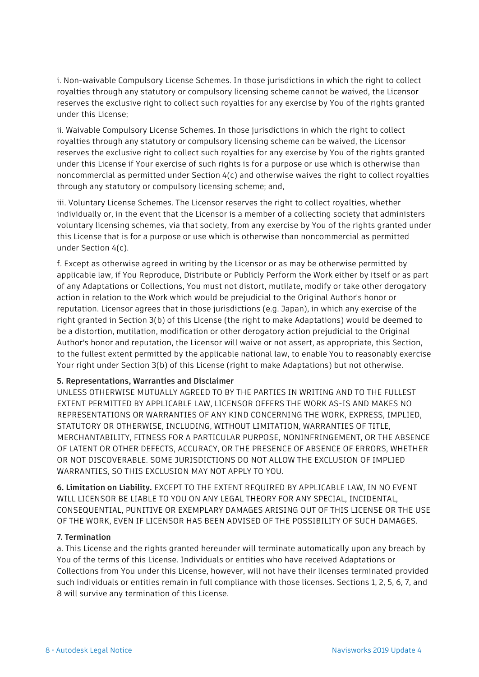i. Non-waivable Compulsory License Schemes. In those jurisdictions in which the right to collect royalties through any statutory or compulsory licensing scheme cannot be waived, the Licensor reserves the exclusive right to collect such royalties for any exercise by You of the rights granted under this License;

ii. Waivable Compulsory License Schemes. In those jurisdictions in which the right to collect royalties through any statutory or compulsory licensing scheme can be waived, the Licensor reserves the exclusive right to collect such royalties for any exercise by You of the rights granted under this License if Your exercise of such rights is for a purpose or use which is otherwise than noncommercial as permitted under Section 4(c) and otherwise waives the right to collect royalties through any statutory or compulsory licensing scheme; and,

iii. Voluntary License Schemes. The Licensor reserves the right to collect royalties, whether individually or, in the event that the Licensor is a member of a collecting society that administers voluntary licensing schemes, via that society, from any exercise by You of the rights granted under this License that is for a purpose or use which is otherwise than noncommercial as permitted under Section 4(c).

f. Except as otherwise agreed in writing by the Licensor or as may be otherwise permitted by applicable law, if You Reproduce, Distribute or Publicly Perform the Work either by itself or as part of any Adaptations or Collections, You must not distort, mutilate, modify or take other derogatory action in relation to the Work which would be prejudicial to the Original Author's honor or reputation. Licensor agrees that in those jurisdictions (e.g. Japan), in which any exercise of the right granted in Section 3(b) of this License (the right to make Adaptations) would be deemed to be a distortion, mutilation, modification or other derogatory action prejudicial to the Original Author's honor and reputation, the Licensor will waive or not assert, as appropriate, this Section, to the fullest extent permitted by the applicable national law, to enable You to reasonably exercise Your right under Section 3(b) of this License (right to make Adaptations) but not otherwise.

#### **5. Representations, Warranties and Disclaimer**

UNLESS OTHERWISE MUTUALLY AGREED TO BY THE PARTIES IN WRITING AND TO THE FULLEST EXTENT PERMITTED BY APPLICABLE LAW, LICENSOR OFFERS THE WORK AS-IS AND MAKES NO REPRESENTATIONS OR WARRANTIES OF ANY KIND CONCERNING THE WORK, EXPRESS, IMPLIED, STATUTORY OR OTHERWISE, INCLUDING, WITHOUT LIMITATION, WARRANTIES OF TITLE, MERCHANTABILITY, FITNESS FOR A PARTICULAR PURPOSE, NONINFRINGEMENT, OR THE ABSENCE OF LATENT OR OTHER DEFECTS, ACCURACY, OR THE PRESENCE OF ABSENCE OF ERRORS, WHETHER OR NOT DISCOVERABLE. SOME JURISDICTIONS DO NOT ALLOW THE EXCLUSION OF IMPLIED WARRANTIES, SO THIS EXCLUSION MAY NOT APPLY TO YOU.

**6. Limitation on Liability.** EXCEPT TO THE EXTENT REQUIRED BY APPLICABLE LAW, IN NO EVENT WILL LICENSOR BE LIABLE TO YOU ON ANY LEGAL THEORY FOR ANY SPECIAL, INCIDENTAL, CONSEQUENTIAL, PUNITIVE OR EXEMPLARY DAMAGES ARISING OUT OF THIS LICENSE OR THE USE OF THE WORK, EVEN IF LICENSOR HAS BEEN ADVISED OF THE POSSIBILITY OF SUCH DAMAGES.

#### **7. Termination**

a. This License and the rights granted hereunder will terminate automatically upon any breach by You of the terms of this License. Individuals or entities who have received Adaptations or Collections from You under this License, however, will not have their licenses terminated provided such individuals or entities remain in full compliance with those licenses. Sections 1, 2, 5, 6, 7, and 8 will survive any termination of this License.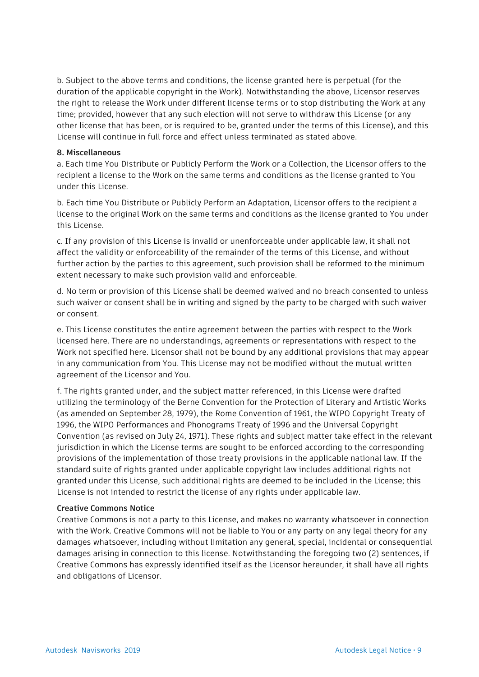b. Subject to the above terms and conditions, the license granted here is perpetual (for the duration of the applicable copyright in the Work). Notwithstanding the above, Licensor reserves the right to release the Work under different license terms or to stop distributing the Work at any time; provided, however that any such election will not serve to withdraw this License (or any other license that has been, or is required to be, granted under the terms of this License), and this License will continue in full force and effect unless terminated as stated above.

#### **8. Miscellaneous**

a. Each time You Distribute or Publicly Perform the Work or a Collection, the Licensor offers to the recipient a license to the Work on the same terms and conditions as the license granted to You under this License.

b. Each time You Distribute or Publicly Perform an Adaptation, Licensor offers to the recipient a license to the original Work on the same terms and conditions as the license granted to You under this License.

c. If any provision of this License is invalid or unenforceable under applicable law, it shall not affect the validity or enforceability of the remainder of the terms of this License, and without further action by the parties to this agreement, such provision shall be reformed to the minimum extent necessary to make such provision valid and enforceable.

d. No term or provision of this License shall be deemed waived and no breach consented to unless such waiver or consent shall be in writing and signed by the party to be charged with such waiver or consent.

e. This License constitutes the entire agreement between the parties with respect to the Work licensed here. There are no understandings, agreements or representations with respect to the Work not specified here. Licensor shall not be bound by any additional provisions that may appear in any communication from You. This License may not be modified without the mutual written agreement of the Licensor and You.

f. The rights granted under, and the subject matter referenced, in this License were drafted utilizing the terminology of the Berne Convention for the Protection of Literary and Artistic Works (as amended on September 28, 1979), the Rome Convention of 1961, the WIPO Copyright Treaty of 1996, the WIPO Performances and Phonograms Treaty of 1996 and the Universal Copyright Convention (as revised on July 24, 1971). These rights and subject matter take effect in the relevant jurisdiction in which the License terms are sought to be enforced according to the corresponding provisions of the implementation of those treaty provisions in the applicable national law. If the standard suite of rights granted under applicable copyright law includes additional rights not granted under this License, such additional rights are deemed to be included in the License; this License is not intended to restrict the license of any rights under applicable law.

#### **Creative Commons Notice**

Creative Commons is not a party to this License, and makes no warranty whatsoever in connection with the Work. Creative Commons will not be liable to You or any party on any legal theory for any damages whatsoever, including without limitation any general, special, incidental or consequential damages arising in connection to this license. Notwithstanding the foregoing two (2) sentences, if Creative Commons has expressly identified itself as the Licensor hereunder, it shall have all rights and obligations of Licensor.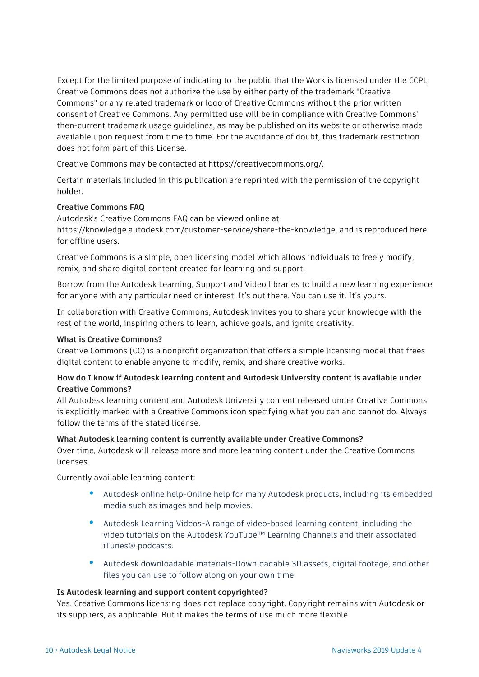Except for the limited purpose of indicating to the public that the Work is licensed under the CCPL, Creative Commons does not authorize the use by either party of the trademark "Creative Commons" or any related trademark or logo of Creative Commons without the prior written consent of Creative Commons. Any permitted use will be in compliance with Creative Commons' then-current trademark usage guidelines, as may be published on its website or otherwise made available upon request from time to time. For the avoidance of doubt, this trademark restriction does not form part of this License.

Creative Commons may be contacted at https://creativecommons.org/.

Certain materials included in this publication are reprinted with the permission of the copyright holder.

#### **Creative Commons FAQ**

Autodesk's Creative Commons FAQ can be viewed online at https://knowledge.autodesk.com/customer-service/share-the-knowledge, and is reproduced here for offline users.

Creative Commons is a simple, open licensing model which allows individuals to freely modify, remix, and share digital content created for learning and support.

Borrow from the Autodesk Learning, Support and Video libraries to build a new learning experience for anyone with any particular need or interest. It's out there. You can use it. It's yours.

In collaboration with Creative Commons, Autodesk invites you to share your knowledge with the rest of the world, inspiring others to learn, achieve goals, and ignite creativity.

#### **What is Creative Commons?**

Creative Commons (CC) is a nonprofit organization that offers a simple licensing model that frees digital content to enable anyone to modify, remix, and share creative works.

#### **How do I know if Autodesk learning content and Autodesk University content is available under Creative Commons?**

All Autodesk learning content and Autodesk University content released under Creative Commons is explicitly marked with a Creative Commons icon specifying what you can and cannot do. Always follow the terms of the stated license.

#### **What Autodesk learning content is currently available under Creative Commons?**

Over time, Autodesk will release more and more learning content under the Creative Commons licenses.

Currently available learning content:

- Autodesk online help-Online help for many Autodesk products, including its embedded media such as images and help movies.
- Autodesk Learning Videos-A range of video-based learning content, including the video tutorials on the Autodesk YouTube™ Learning Channels and their associated iTunes® podcasts.
- Autodesk downloadable materials-Downloadable 3D assets, digital footage, and other files you can use to follow along on your own time.

#### **Is Autodesk learning and support content copyrighted?**

Yes. Creative Commons licensing does not replace copyright. Copyright remains with Autodesk or its suppliers, as applicable. But it makes the terms of use much more flexible.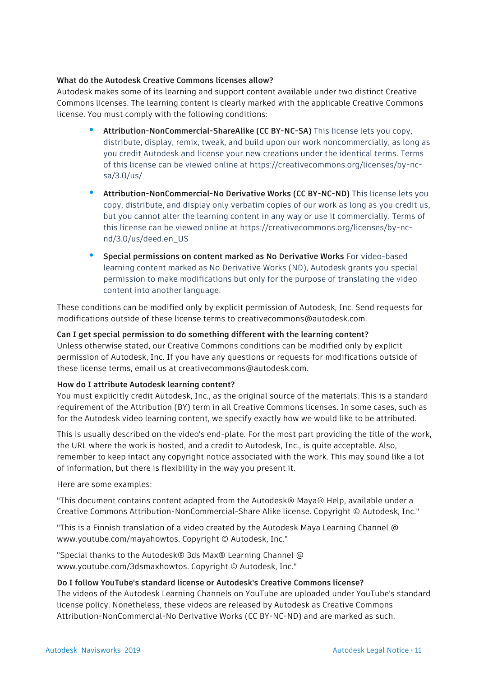#### **What do the Autodesk Creative Commons licenses allow?**

Autodesk makes some of its learning and support content available under two distinct Creative Commons licenses. The learning content is clearly marked with the applicable Creative Commons license. You must comply with the following conditions:

- **Attribution-NonCommercial-ShareAlike (CC BY-NC-SA)** This license lets you copy, distribute, display, remix, tweak, and build upon our work noncommercially, as long as you credit Autodesk and license your new creations under the identical terms. Terms of this license can be viewed online at https://creativecommons.org/licenses/by-ncsa/3.0/us/
- **Attribution-NonCommercial-No Derivative Works (CC BY-NC-ND)** This license lets you copy, distribute, and display only verbatim copies of our work as long as you credit us, but you cannot alter the learning content in any way or use it commercially. Terms of this license can be viewed online at https://creativecommons.org/licenses/by-ncnd/3.0/us/deed.en\_US
- **Special permissions on content marked as No Derivative Works** For video-based learning content marked as No Derivative Works (ND), Autodesk grants you special permission to make modifications but only for the purpose of translating the video content into another language.

These conditions can be modified only by explicit permission of Autodesk, Inc. Send requests for modifications outside of these license terms to creativecommons@autodesk.com.

#### **Can I get special permission to do something different with the learning content?**

Unless otherwise stated, our Creative Commons conditions can be modified only by explicit permission of Autodesk, Inc. If you have any questions or requests for modifications outside of these license terms, email us at creativecommons@autodesk.com.

#### **How do I attribute Autodesk learning content?**

You must explicitly credit Autodesk, Inc., as the original source of the materials. This is a standard requirement of the Attribution (BY) term in all Creative Commons licenses. In some cases, such as for the Autodesk video learning content, we specify exactly how we would like to be attributed.

This is usually described on the video's end-plate. For the most part providing the title of the work, the URL where the work is hosted, and a credit to Autodesk, Inc., is quite acceptable. Also, remember to keep intact any copyright notice associated with the work. This may sound like a lot of information, but there is flexibility in the way you present it.

Here are some examples:

"This document contains content adapted from the Autodesk® Maya® Help, available under a Creative Commons Attribution-NonCommercial-Share Alike license. Copyright © Autodesk, Inc."

"This is a Finnish translation of a video created by the Autodesk Maya Learning Channel @ www.youtube.com/mayahowtos. Copyright © Autodesk, Inc."

"Special thanks to the Autodesk® 3ds Max® Learning Channel @ www.youtube.com/3dsmaxhowtos. Copyright © Autodesk, Inc."

#### **Do I follow YouTube's standard license or Autodesk's Creative Commons license?**

The videos of the Autodesk Learning Channels on YouTube are uploaded under YouTube's standard license policy. Nonetheless, these videos are released by Autodesk as Creative Commons Attribution-NonCommercial-No Derivative Works (CC BY-NC-ND) and are marked as such.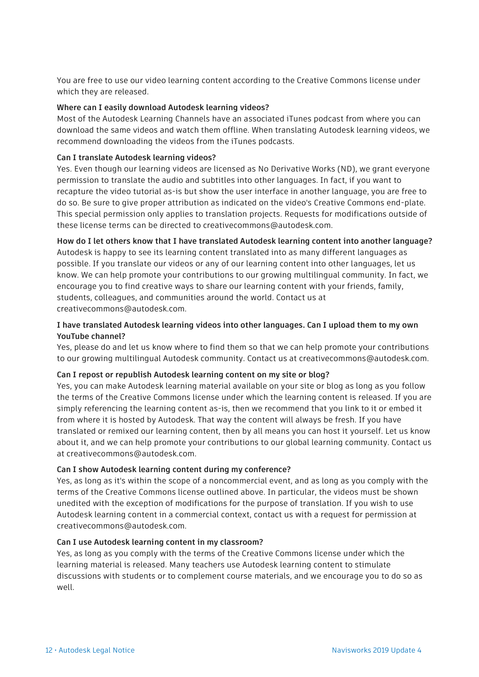You are free to use our video learning content according to the Creative Commons license under which they are released.

#### **Where can I easily download Autodesk learning videos?**

Most of the Autodesk Learning Channels have an associated iTunes podcast from where you can download the same videos and watch them offline. When translating Autodesk learning videos, we recommend downloading the videos from the iTunes podcasts.

#### **Can I translate Autodesk learning videos?**

Yes. Even though our learning videos are licensed as No Derivative Works (ND), we grant everyone permission to translate the audio and subtitles into other languages. In fact, if you want to recapture the video tutorial as-is but show the user interface in another language, you are free to do so. Be sure to give proper attribution as indicated on the video's Creative Commons end-plate. This special permission only applies to translation projects. Requests for modifications outside of these license terms can be directed to creativecommons@autodesk.com.

**How do I let others know that I have translated Autodesk learning content into another language?** Autodesk is happy to see its learning content translated into as many different languages as possible. If you translate our videos or any of our learning content into other languages, let us know. We can help promote your contributions to our growing multilingual community. In fact, we encourage you to find creative ways to share our learning content with your friends, family, students, colleagues, and communities around the world. Contact us at creativecommons@autodesk.com.

#### **I have translated Autodesk learning videos into other languages. Can I upload them to my own YouTube channel?**

Yes, please do and let us know where to find them so that we can help promote your contributions to our growing multilingual Autodesk community. Contact us at creativecommons@autodesk.com.

#### **Can I repost or republish Autodesk learning content on my site or blog?**

Yes, you can make Autodesk learning material available on your site or blog as long as you follow the terms of the Creative Commons license under which the learning content is released. If you are simply referencing the learning content as-is, then we recommend that you link to it or embed it from where it is hosted by Autodesk. That way the content will always be fresh. If you have translated or remixed our learning content, then by all means you can host it yourself. Let us know about it, and we can help promote your contributions to our global learning community. Contact us at creativecommons@autodesk.com.

#### **Can I show Autodesk learning content during my conference?**

Yes, as long as it's within the scope of a noncommercial event, and as long as you comply with the terms of the Creative Commons license outlined above. In particular, the videos must be shown unedited with the exception of modifications for the purpose of translation. If you wish to use Autodesk learning content in a commercial context, contact us with a request for permission at creativecommons@autodesk.com.

#### **Can I use Autodesk learning content in my classroom?**

Yes, as long as you comply with the terms of the Creative Commons license under which the learning material is released. Many teachers use Autodesk learning content to stimulate discussions with students or to complement course materials, and we encourage you to do so as well.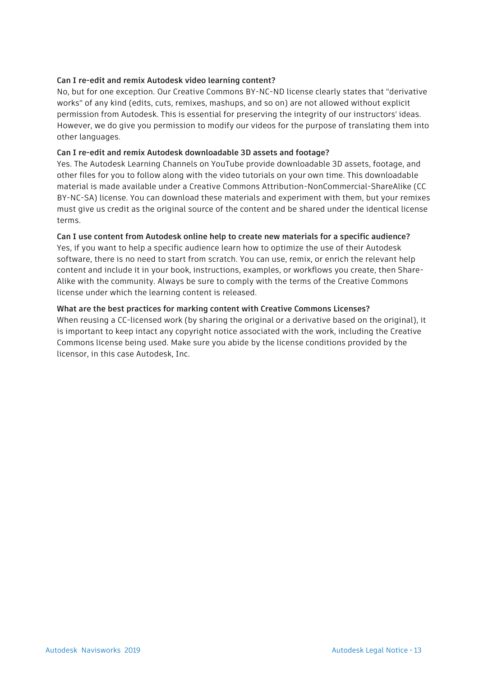#### **Can I re-edit and remix Autodesk video learning content?**

No, but for one exception. Our Creative Commons BY-NC-ND license clearly states that "derivative works" of any kind (edits, cuts, remixes, mashups, and so on) are not allowed without explicit permission from Autodesk. This is essential for preserving the integrity of our instructors' ideas. However, we do give you permission to modify our videos for the purpose of translating them into other languages.

#### **Can I re-edit and remix Autodesk downloadable 3D assets and footage?**

Yes. The Autodesk Learning Channels on YouTube provide downloadable 3D assets, footage, and other files for you to follow along with the video tutorials on your own time. This downloadable material is made available under a Creative Commons Attribution-NonCommercial-ShareAlike (CC BY-NC-SA) license. You can download these materials and experiment with them, but your remixes must give us credit as the original source of the content and be shared under the identical license terms.

#### **Can I use content from Autodesk online help to create new materials for a specific audience?**

Yes, if you want to help a specific audience learn how to optimize the use of their Autodesk software, there is no need to start from scratch. You can use, remix, or enrich the relevant help content and include it in your book, instructions, examples, or workflows you create, then Share-Alike with the community. Always be sure to comply with the terms of the Creative Commons license under which the learning content is released.

#### **What are the best practices for marking content with Creative Commons Licenses?**

When reusing a CC-licensed work (by sharing the original or a derivative based on the original), it is important to keep intact any copyright notice associated with the work, including the Creative Commons license being used. Make sure you abide by the license conditions provided by the licensor, in this case Autodesk, Inc.